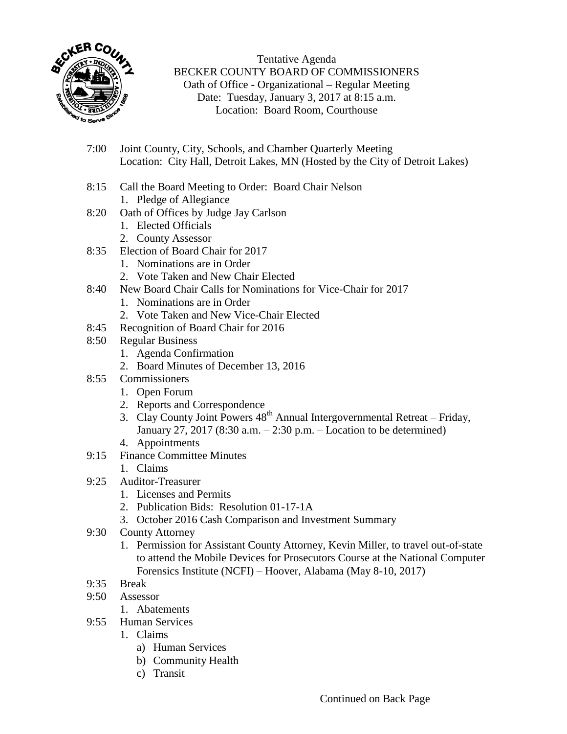

Tentative Agenda BECKER COUNTY BOARD OF COMMISSIONERS Oath of Office - Organizational – Regular Meeting Date: Tuesday, January 3, 2017 at 8:15 a.m. Location: Board Room, Courthouse

- 7:00 Joint County, City, Schools, and Chamber Quarterly Meeting Location: City Hall, Detroit Lakes, MN (Hosted by the City of Detroit Lakes)
- 8:15 Call the Board Meeting to Order: Board Chair Nelson 1. Pledge of Allegiance
- 8:20 Oath of Offices by Judge Jay Carlson
	- 1. Elected Officials
	- 2. County Assessor
- 8:35 Election of Board Chair for 2017
	- 1. Nominations are in Order
	- 2. Vote Taken and New Chair Elected
- 8:40 New Board Chair Calls for Nominations for Vice-Chair for 2017
	- 1. Nominations are in Order
	- 2. Vote Taken and New Vice-Chair Elected
- 8:45 Recognition of Board Chair for 2016
- 8:50 Regular Business
	- 1. Agenda Confirmation
	- 2. Board Minutes of December 13, 2016
- 8:55 Commissioners
	- 1. Open Forum
	- 2. Reports and Correspondence
	- $\frac{2!}{3!}$  Clay County Joint Powers  $48<sup>th</sup>$  Annual Intergovernmental Retreat Friday, January 27, 2017 (8:30 a.m. – 2:30 p.m. – Location to be determined)
	- 4. Appointments
- 9:15 Finance Committee Minutes
	- 1. Claims
- 9:25 Auditor-Treasurer
	- 1. Licenses and Permits
	- 2. Publication Bids: Resolution 01-17-1A
	- 3. October 2016 Cash Comparison and Investment Summary
- 9:30 County Attorney
	- 1. Permission for Assistant County Attorney, Kevin Miller, to travel out-of-state to attend the Mobile Devices for Prosecutors Course at the National Computer Forensics Institute (NCFI) – Hoover, Alabama (May 8-10, 2017)
- 9:35 Break
- 9:50 Assessor
	- 1. Abatements
- 9:55 Human Services
	- 1. Claims
		- a) Human Services
		- b) Community Health
		- c) Transit